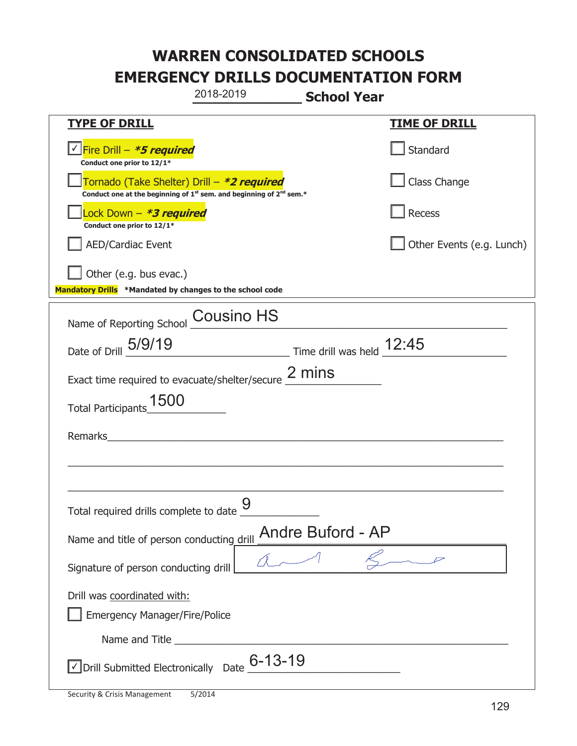|                                                                                            | 2018-2019                                                                                   | <b>School Year</b> |                           |
|--------------------------------------------------------------------------------------------|---------------------------------------------------------------------------------------------|--------------------|---------------------------|
| <b>TYPE OF DRILL</b>                                                                       |                                                                                             |                    | <b>TIME OF DRILL</b>      |
| <u>√ <mark>Fire Drill – <i>*<b>5 required</b></i></mark></u><br>Conduct one prior to 12/1* |                                                                                             |                    | Standard                  |
| Tornado (Take Shelter) Drill – *2 required                                                 | Conduct one at the beginning of 1 <sup>st</sup> sem. and beginning of 2 <sup>nd</sup> sem.* |                    | Class Change              |
| Lock Down - <b>*3 required</b><br>Conduct one prior to 12/1*                               |                                                                                             |                    | <b>Recess</b>             |
| <b>AED/Cardiac Event</b>                                                                   |                                                                                             |                    | Other Events (e.g. Lunch) |
| Other (e.g. bus evac.)<br>Mandatory Drills *Mandated by changes to the school code         |                                                                                             |                    |                           |
| Name of Reporting School Cousino HS                                                        |                                                                                             |                    |                           |
| Date of Drill 5/9/19                                                                       | $\frac{12:45}{2}$ Time drill was held $\frac{12:45}{2}$                                     |                    |                           |
| Exact time required to evacuate/shelter/secure $\frac{2 \text{ mins}}{}$                   |                                                                                             |                    |                           |
| 1500<br>Total Participants                                                                 |                                                                                             |                    |                           |
| Remarks                                                                                    |                                                                                             |                    |                           |
|                                                                                            |                                                                                             |                    |                           |
| Total required drills complete to date $\frac{9}{4}$                                       |                                                                                             |                    |                           |
| Name and title of person conducting drill                                                  |                                                                                             | Andre Buford - AP  |                           |
| Signature of person conducting drill                                                       |                                                                                             |                    |                           |
| Drill was coordinated with:<br><b>Emergency Manager/Fire/Police</b>                        |                                                                                             |                    |                           |
|                                                                                            |                                                                                             |                    |                           |
| $\sqrt{}$ Drill Submitted Electronically Date $\underline{6}$ -13-19                       |                                                                                             |                    |                           |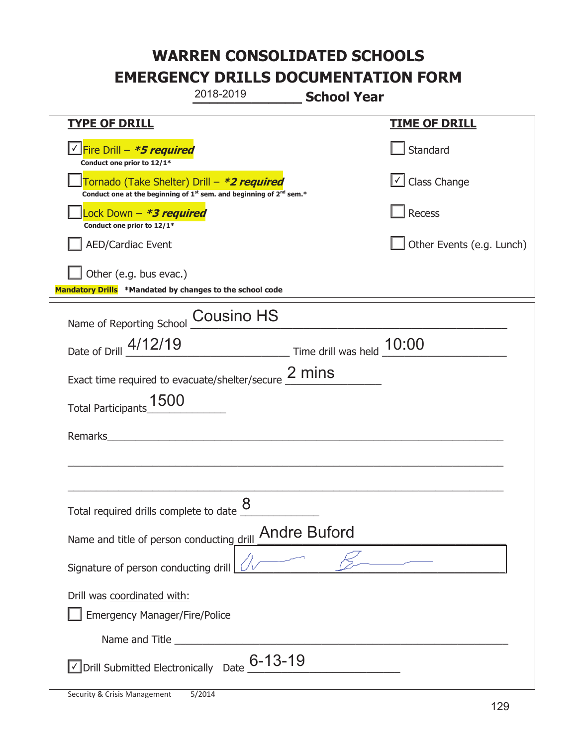|                                                                                    | 2018-2019                                                                                   | <b>School Year</b> |                                   |
|------------------------------------------------------------------------------------|---------------------------------------------------------------------------------------------|--------------------|-----------------------------------|
| <b>TYPE OF DRILL</b>                                                               |                                                                                             |                    | <u>TIME OF DRILL</u>              |
| √Fire Drill – <i>*5 required</i><br>Conduct one prior to 12/1*                     |                                                                                             |                    | Standard                          |
| Tornado (Take Shelter) Drill – *2 required                                         | Conduct one at the beginning of 1 <sup>st</sup> sem. and beginning of 2 <sup>nd</sup> sem.* |                    | $\boxed{\checkmark}$ Class Change |
| Lock Down – <i>*<b>3 required</b></i><br>Conduct one prior to 12/1*                |                                                                                             |                    | Recess                            |
| <b>AED/Cardiac Event</b>                                                           |                                                                                             |                    | Other Events (e.g. Lunch)         |
| Other (e.g. bus evac.)<br>Mandatory Drills *Mandated by changes to the school code |                                                                                             |                    |                                   |
| Name of Reporting School Cousino HS                                                |                                                                                             |                    |                                   |
| Date of Drill 4/12/19                                                              | $\frac{10:00}{\frac{10}{20}}$ Time drill was held $\frac{10:00}{\frac{10}{20}}$             |                    |                                   |
| Exact time required to evacuate/shelter/secure 2 mins                              |                                                                                             |                    |                                   |
| 1500<br><b>Total Participants</b>                                                  |                                                                                             |                    |                                   |
| Remarks                                                                            |                                                                                             |                    |                                   |
|                                                                                    |                                                                                             |                    |                                   |
|                                                                                    |                                                                                             |                    |                                   |
| Total required drills complete to date $\frac{8}{4}$                               |                                                                                             |                    |                                   |
| Name and title of person conducting drill <b>Andre Buford</b>                      |                                                                                             |                    |                                   |
| Signature of person conducting drill                                               |                                                                                             |                    |                                   |
| Drill was coordinated with:<br><b>Emergency Manager/Fire/Police</b>                |                                                                                             |                    |                                   |
|                                                                                    |                                                                                             |                    |                                   |
|                                                                                    | Drill Submitted Electronically Date 6-13-19                                                 |                    |                                   |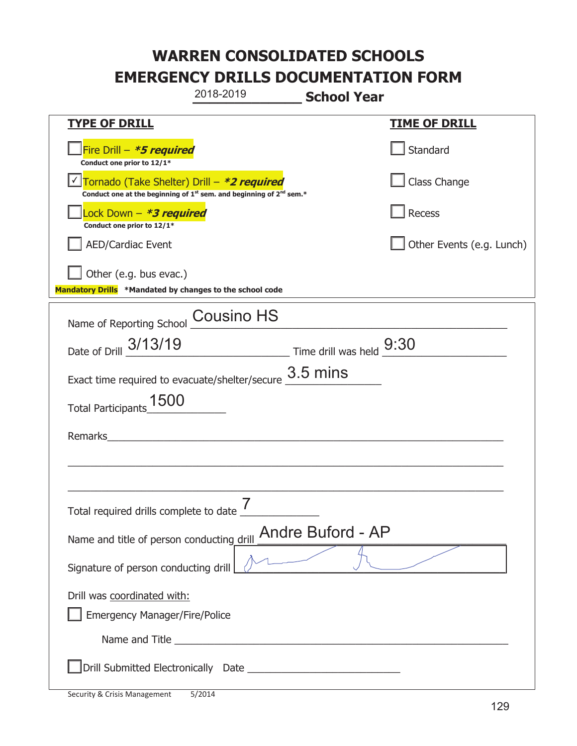|                                                                                    | 2018-2019                                                               | <b>School Year</b>                                                        |                           |
|------------------------------------------------------------------------------------|-------------------------------------------------------------------------|---------------------------------------------------------------------------|---------------------------|
| <b>TYPE OF DRILL</b>                                                               |                                                                         |                                                                           | <b>TIME OF DRILL</b>      |
| Fire Drill - *5 required<br>Conduct one prior to 12/1*                             |                                                                         |                                                                           | Standard                  |
| Tornado (Take Shelter) Drill – *2 required                                         | Conduct one at the beginning of $1st$ sem. and beginning of $2nd$ sem.* |                                                                           | Class Change              |
| Lock Down - <b>*3 required</b><br>Conduct one prior to 12/1*                       |                                                                         |                                                                           | Recess                    |
| <b>AED/Cardiac Event</b>                                                           |                                                                         |                                                                           | Other Events (e.g. Lunch) |
| Other (e.g. bus evac.)<br>Mandatory Drills *Mandated by changes to the school code |                                                                         |                                                                           |                           |
| Name of Reporting School Cousino HS                                                |                                                                         |                                                                           |                           |
| Date of Drill 3/13/19                                                              |                                                                         | $\frac{9:30}{\frac{1}{2}}$ Time drill was held $\frac{9:30}{\frac{1}{2}}$ |                           |
| Exact time required to evacuate/shelter/secure $\underline{\hspace{1em} 3.5}$ mins |                                                                         |                                                                           |                           |
| 1500<br><b>Total Participants</b>                                                  |                                                                         |                                                                           |                           |
| Remarks                                                                            |                                                                         |                                                                           |                           |
|                                                                                    |                                                                         |                                                                           |                           |
|                                                                                    |                                                                         |                                                                           |                           |
| Total required drills complete to date $\mathbf{\mathsf{r}}$                       |                                                                         |                                                                           |                           |
| Name and title of person conducting drill Andre Buford - AP                        |                                                                         |                                                                           |                           |
| Signature of person conducting drill                                               |                                                                         |                                                                           |                           |
| Drill was coordinated with:<br><b>Emergency Manager/Fire/Police</b>                |                                                                         |                                                                           |                           |
|                                                                                    |                                                                         |                                                                           |                           |
|                                                                                    |                                                                         |                                                                           |                           |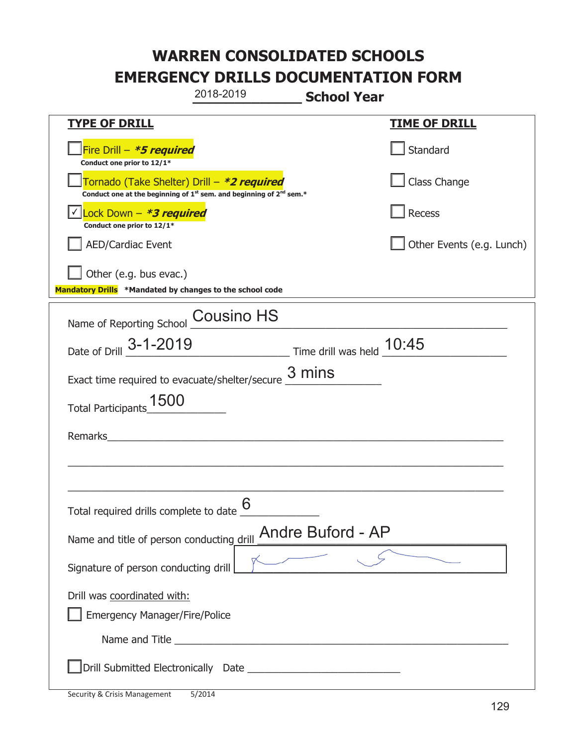|                                                                                    | 2018-2019                                                                                   | <b>School Year</b> |                           |
|------------------------------------------------------------------------------------|---------------------------------------------------------------------------------------------|--------------------|---------------------------|
| <b>TYPE OF DRILL</b>                                                               |                                                                                             |                    | <b>TIME OF DRILL</b>      |
| Fire Drill $- *5$ required<br>Conduct one prior to 12/1*                           |                                                                                             |                    | Standard                  |
| Tornado (Take Shelter) Drill – *2 required                                         | Conduct one at the beginning of 1 <sup>st</sup> sem. and beginning of 2 <sup>nd</sup> sem.* |                    | Class Change              |
| Lock Down $-$ *3 required<br>Conduct one prior to 12/1*                            |                                                                                             |                    | <b>Recess</b>             |
| <b>AED/Cardiac Event</b>                                                           |                                                                                             |                    | Other Events (e.g. Lunch) |
| Other (e.g. bus evac.)<br>Mandatory Drills *Mandated by changes to the school code |                                                                                             |                    |                           |
| Name of Reporting School Cousino HS                                                |                                                                                             |                    |                           |
| Date of Drill 3-1-2019                                                             | $\frac{10:45}{2}$ Time drill was held $\frac{10:45}{2}$                                     |                    |                           |
| Exact time required to evacuate/shelter/secure                                     |                                                                                             | 3 mins             |                           |
| 1500<br><b>Total Participants</b>                                                  |                                                                                             |                    |                           |
| Remarks                                                                            | <u> 1980 - John Stein, amerikansk politiker (</u>                                           |                    |                           |
|                                                                                    |                                                                                             |                    |                           |
|                                                                                    |                                                                                             |                    |                           |
| Total required drills complete to date $\underline{\mathsf{6}}$                    |                                                                                             |                    |                           |
| Name and title of person conducting drill                                          |                                                                                             | Andre Buford - AP  |                           |
| Signature of person conducting drill                                               |                                                                                             |                    |                           |
| Drill was coordinated with:<br><b>Emergency Manager/Fire/Police</b>                |                                                                                             |                    |                           |
|                                                                                    |                                                                                             |                    |                           |
|                                                                                    |                                                                                             |                    |                           |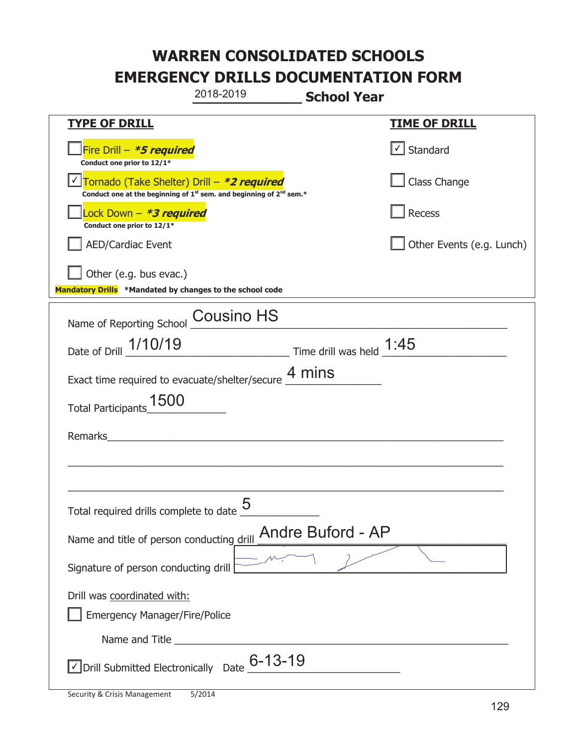|                                                                                    | 2018-2019                                                                                   | <b>School Year</b> |                                   |
|------------------------------------------------------------------------------------|---------------------------------------------------------------------------------------------|--------------------|-----------------------------------|
| <b>TYPE OF DRILL</b>                                                               |                                                                                             |                    | <u>TIME OF DRILL</u>              |
| Fire Drill - *5 required<br>Conduct one prior to 12/1*                             |                                                                                             |                    | $\lfloor \angle \rfloor$ Standard |
| Tornado (Take Shelter) Drill – *2 required                                         | Conduct one at the beginning of 1 <sup>st</sup> sem. and beginning of 2 <sup>nd</sup> sem.* |                    | Class Change                      |
| Lock Down - *3 required<br>Conduct one prior to 12/1*                              |                                                                                             |                    | Recess                            |
| <b>AED/Cardiac Event</b>                                                           |                                                                                             |                    | Other Events (e.g. Lunch)         |
| Other (e.g. bus evac.)<br>Mandatory Drills *Mandated by changes to the school code |                                                                                             |                    |                                   |
| Name of Reporting School                                                           | <b>Cousino HS</b>                                                                           |                    |                                   |
| Date of Drill 1/10/19                                                              | $\frac{1.45}{1.45}$ Time drill was held $\frac{1.45}{1.45}$                                 |                    |                                   |
| Exact time required to evacuate/shelter/secure $\frac{4}{1}$ mins                  |                                                                                             |                    |                                   |
| 1500<br><b>Total Participants</b>                                                  |                                                                                             |                    |                                   |
| Remarks                                                                            |                                                                                             |                    |                                   |
|                                                                                    |                                                                                             |                    |                                   |
| Total required drills complete to date $\frac{6}{5}$                               | 5                                                                                           |                    |                                   |
| Name and title of person conducting drill Andre Buford - AP                        |                                                                                             |                    |                                   |
| Signature of person conducting drill                                               |                                                                                             |                    |                                   |
| Drill was coordinated with:<br><b>Emergency Manager/Fire/Police</b>                |                                                                                             |                    |                                   |
|                                                                                    |                                                                                             |                    |                                   |
| $\vee$ Drill Submitted Electronically Date $_{-}^{\rm G}$ –13–19                   |                                                                                             |                    |                                   |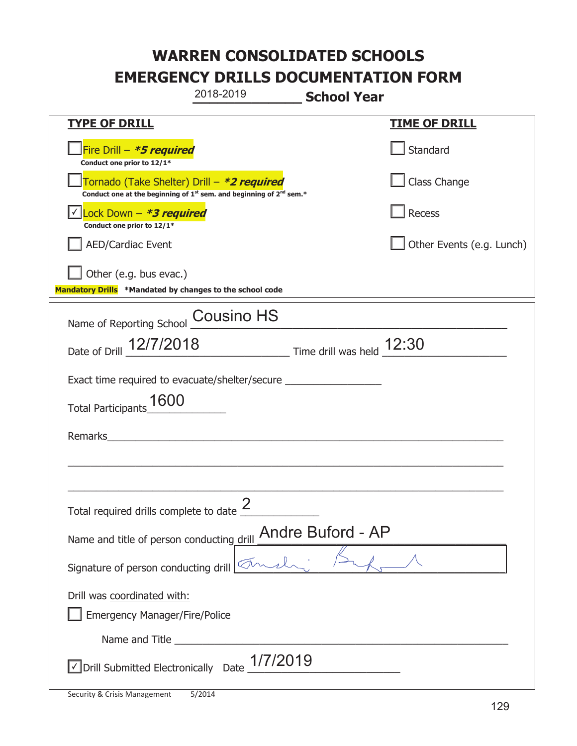|                                                                                    | 2018-2019                                                                                   | <b>School Year</b> |                           |
|------------------------------------------------------------------------------------|---------------------------------------------------------------------------------------------|--------------------|---------------------------|
| <b>TYPE OF DRILL</b>                                                               |                                                                                             |                    | <u>TIME OF DRILL</u>      |
| Fire Drill - *5 required<br>Conduct one prior to 12/1*                             |                                                                                             |                    | Standard                  |
| Tornado (Take Shelter) Drill – *2 required                                         | Conduct one at the beginning of 1 <sup>st</sup> sem. and beginning of 2 <sup>nd</sup> sem.* |                    | Class Change              |
| Lock Down - *3 required<br>Conduct one prior to 12/1*                              |                                                                                             |                    | Recess                    |
| <b>AED/Cardiac Event</b>                                                           |                                                                                             |                    | Other Events (e.g. Lunch) |
| Other (e.g. bus evac.)<br>Mandatory Drills *Mandated by changes to the school code |                                                                                             |                    |                           |
| Name of Reporting School Cousino HS                                                |                                                                                             |                    |                           |
| Date of Drill 12/7/2018                                                            | $\frac{12:30}{\frac{12:30}{1}}$ Time drill was held $\frac{12:30}{\frac{12:30}{1}}$         |                    |                           |
| Exact time required to evacuate/shelter/secure                                     |                                                                                             |                    |                           |
| 1600<br><b>Total Participants</b>                                                  |                                                                                             |                    |                           |
| Remarks                                                                            | <u> 1980 - Jan Stein, amerikansk politiker (d. 1980)</u>                                    |                    |                           |
|                                                                                    |                                                                                             |                    |                           |
|                                                                                    |                                                                                             |                    |                           |
| Total required drills complete to date $\leq$                                      |                                                                                             |                    |                           |
| Name and title of person conducting drill Andre Buford - AP                        |                                                                                             |                    |                           |
| Signature of person conducting drill                                               |                                                                                             |                    |                           |
| Drill was coordinated with:<br><b>Emergency Manager/Fire/Police</b>                |                                                                                             |                    |                           |
|                                                                                    |                                                                                             |                    |                           |
|                                                                                    | Drill Submitted Electronically Date $1/7/2019$                                              |                    |                           |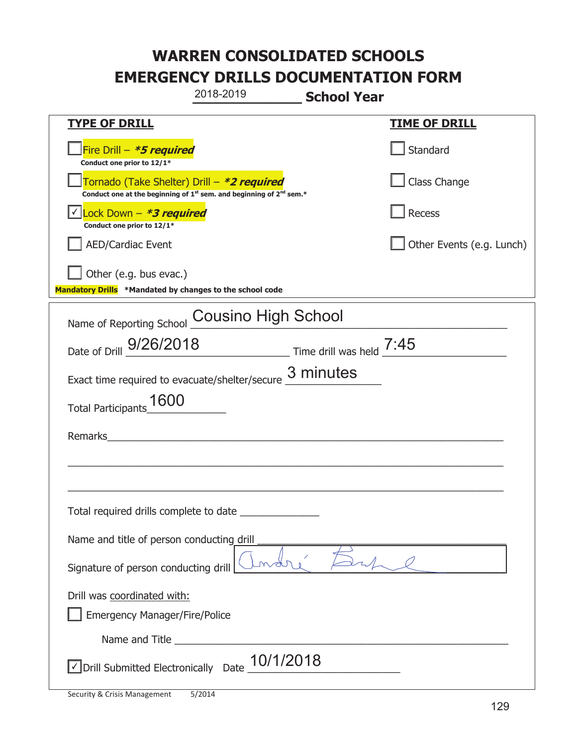|                                                                                    | 2018-2019                                                                                   | <b>School Year</b> |                           |
|------------------------------------------------------------------------------------|---------------------------------------------------------------------------------------------|--------------------|---------------------------|
| <b>TYPE OF DRILL</b>                                                               |                                                                                             |                    | <b>TIME OF DRILL</b>      |
| Fire Drill - *5 required<br>Conduct one prior to 12/1*                             |                                                                                             |                    | Standard                  |
| Tornado (Take Shelter) Drill – *2 required                                         | Conduct one at the beginning of 1 <sup>st</sup> sem. and beginning of 2 <sup>nd</sup> sem.* |                    | Class Change              |
| Lock Down - *3 required<br>Conduct one prior to 12/1*                              |                                                                                             |                    | Recess                    |
| <b>AED/Cardiac Event</b>                                                           |                                                                                             |                    | Other Events (e.g. Lunch) |
| Other (e.g. bus evac.)<br>Mandatory Drills *Mandated by changes to the school code |                                                                                             |                    |                           |
| Name of Reporting School                                                           | <b>Cousino High School</b>                                                                  |                    |                           |
| Date of Drill 9/26/2018                                                            | $\frac{1}{2}$ Time drill was held $\frac{7:45}{2}$                                          |                    |                           |
| Exact time required to evacuate/shelter/secure                                     |                                                                                             | 3 minutes          |                           |
| 1600<br><b>Total Participants</b>                                                  |                                                                                             |                    |                           |
| Remarks                                                                            |                                                                                             |                    |                           |
|                                                                                    |                                                                                             |                    |                           |
|                                                                                    |                                                                                             |                    |                           |
| Total required drills complete to date _____                                       |                                                                                             |                    |                           |
| Name and title of person conducting drill                                          |                                                                                             |                    |                           |
| Signature of person conducting drill                                               |                                                                                             |                    |                           |
| Drill was coordinated with:<br><b>Emergency Manager/Fire/Police</b>                |                                                                                             |                    |                           |
|                                                                                    |                                                                                             |                    |                           |
| Drill Submitted Electronically Date                                                | 10/1/2018                                                                                   |                    |                           |